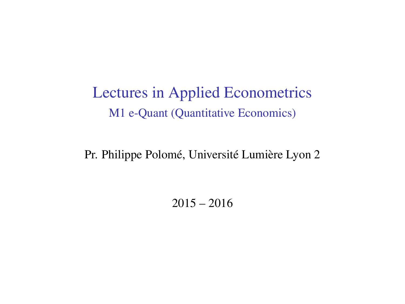Lectures in Applied Econometrics M1 e-Quant (Quantitative Economics)

Pr. Philippe Polomé, Université Lumière Lyon 2

 $2015 - 2016$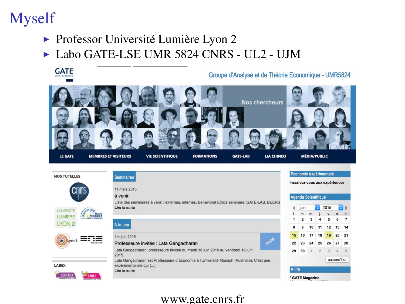# Myself

- $\triangleright$  Professor Université Lumière Lyon 2
- ► Labo GATE-LSE UMR 5824 CNRS UL2 UJM



Lata Gangadharan est Professeure d'Économie à l'Université Monash (Australie). C'est une expérimentaliste qui (...)

Lire la suite

LABEX

**CORTE** 

A lire \* GATE Magazine

#### www.gate.cnrs.fr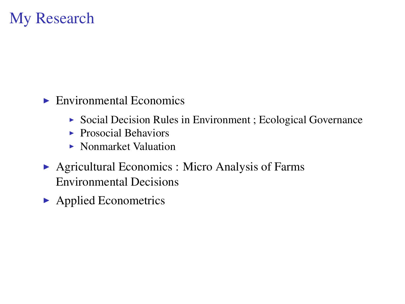### My Research

- $\blacktriangleright$  Environmental Economics
	- $\triangleright$  Social Decision Rules in Environment ; Ecological Governance
	- $\blacktriangleright$  Prosocial Behaviors
	- $\triangleright$  Nonmarket Valuation
- $\triangleright$  Agricultural Economics : Micro Analysis of Farms Environmental Decisions
- $\blacktriangleright$  Applied Econometrics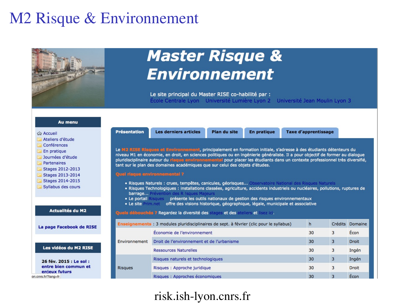### M2 Risque & Environnement



### risk.ish-lyon.cnrs.fr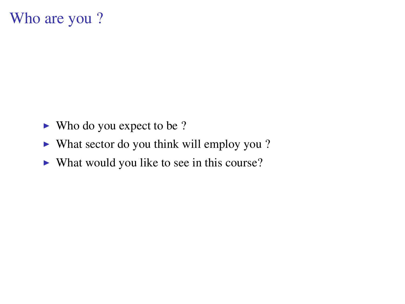### Who are you ?

- $\blacktriangleright$  Who do you expect to be ?
- $\triangleright$  What sector do you think will employ you ?
- $\triangleright$  What would you like to see in this course?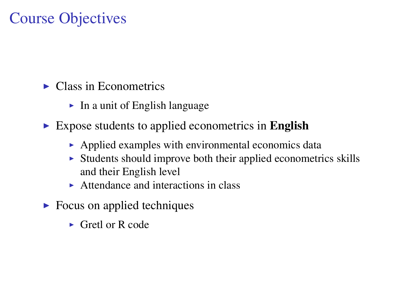## Course Objectives

- $\blacktriangleright$  Class in Econometrics
	- $\blacktriangleright$  In a unit of English language
- $\triangleright$  Expose students to applied econometrics in English
	- $\blacktriangleright$  Applied examples with environmental economics data
	- $\triangleright$  Students should improve both their applied econometrics skills and their English level
	- $\triangleright$  Attendance and interactions in class
- $\triangleright$  Focus on applied techniques
	- $\triangleright$  Gretl or R code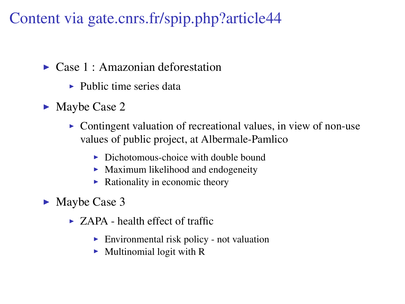Content via gate.cnrs.fr/spip.php?article44

- $\triangleright$  Case 1 : Amazonian deforestation
	- $\blacktriangleright$  Public time series data
- $\blacktriangleright$  Maybe Case 2
	- $\triangleright$  Contingent valuation of recreational values, in view of non-use values of public project, at Albermale-Pamlico
		- $\triangleright$  Dichotomous-choice with double bound
		- $\blacktriangleright$  Maximum likelihood and endogeneity
		- $\blacktriangleright$  Rationality in economic theory
- $\blacktriangleright$  Maybe Case 3
	- $\triangleright$  ZAPA health effect of traffic
		- $\blacktriangleright$  Environmental risk policy not valuation
		- $\blacktriangleright$  Multinomial logit with R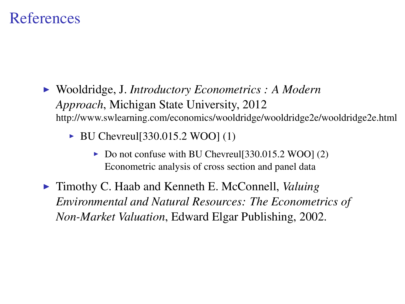### References

- I Wooldridge, J. *Introductory Econometrics : A Modern Approach*, Michigan State University, 2012 http://www.swlearning.com/economics/wooldridge/wooldridge2e/wooldridge2e.html
	- $\triangleright$  BU Chevreul [330.015.2 WOO] (1)
		- $\triangleright$  Do not confuse with BU Chevreul [330.015.2 WOO] (2) Econometric analysis of cross section and panel data
- ► Timothy C. Haab and Kenneth E. McConnell, *Valuing Environmental and Natural Resources: The Econometrics of Non-Market Valuation*, Edward Elgar Publishing, 2002.